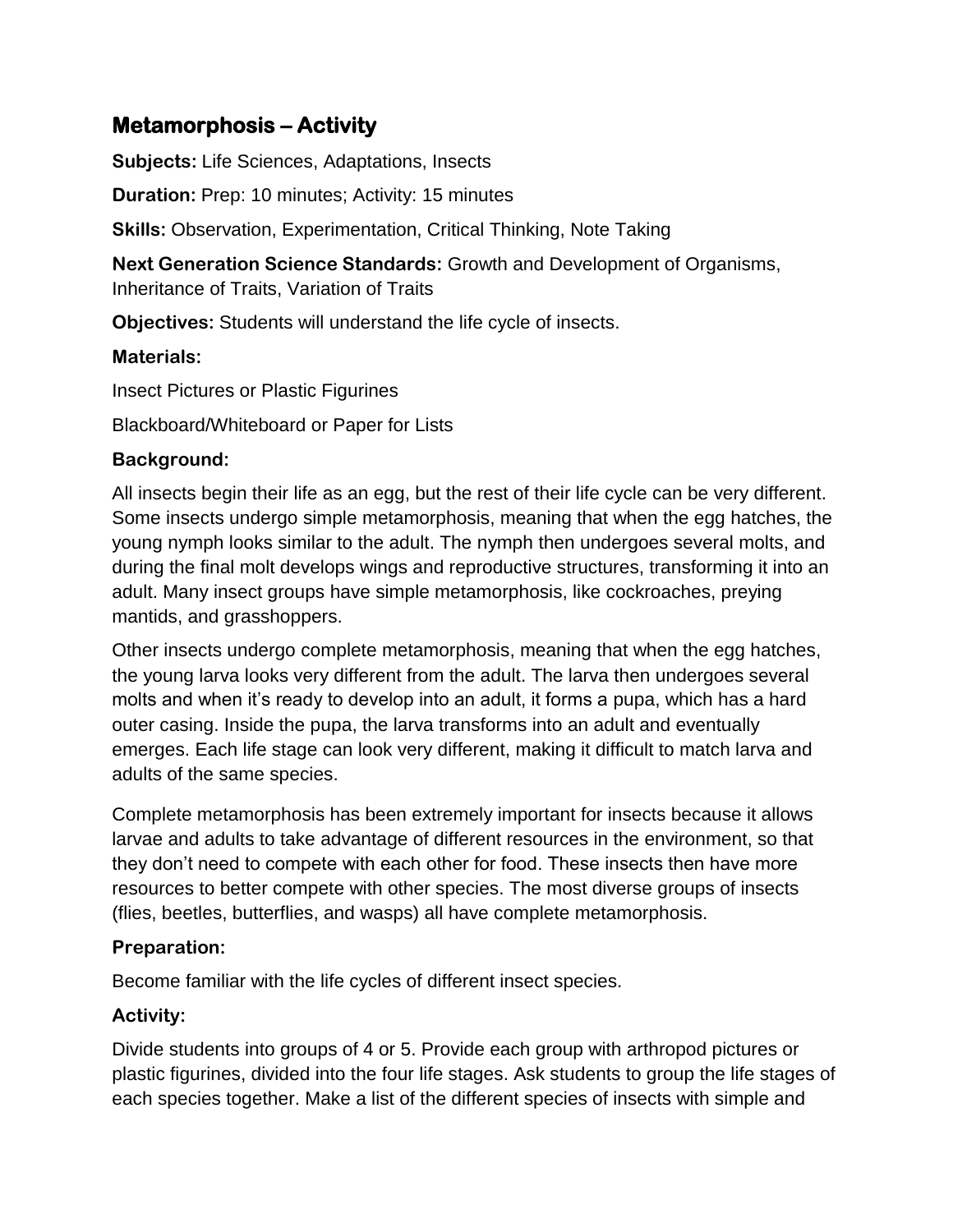# **Metamorphosis – Activity**

**Subjects:** Life Sciences, Adaptations, Insects

**Duration:** Prep: 10 minutes; Activity: 15 minutes

**Skills:** Observation, Experimentation, Critical Thinking, Note Taking

**Next Generation Science Standards:** Growth and Development of Organisms, Inheritance of Traits, Variation of Traits

**Objectives:** Students will understand the life cycle of insects.

### **Materials:**

Insect Pictures or Plastic Figurines

Blackboard/Whiteboard or Paper for Lists

### **Background:**

All insects begin their life as an egg, but the rest of their life cycle can be very different. Some insects undergo simple metamorphosis, meaning that when the egg hatches, the young nymph looks similar to the adult. The nymph then undergoes several molts, and during the final molt develops wings and reproductive structures, transforming it into an adult. Many insect groups have simple metamorphosis, like cockroaches, preying mantids, and grasshoppers.

Other insects undergo complete metamorphosis, meaning that when the egg hatches, the young larva looks very different from the adult. The larva then undergoes several molts and when it's ready to develop into an adult, it forms a pupa, which has a hard outer casing. Inside the pupa, the larva transforms into an adult and eventually emerges. Each life stage can look very different, making it difficult to match larva and adults of the same species.

Complete metamorphosis has been extremely important for insects because it allows larvae and adults to take advantage of different resources in the environment, so that they don't need to compete with each other for food. These insects then have more resources to better compete with other species. The most diverse groups of insects (flies, beetles, butterflies, and wasps) all have complete metamorphosis.

## **Preparation:**

Become familiar with the life cycles of different insect species.

## **Activity:**

Divide students into groups of 4 or 5. Provide each group with arthropod pictures or plastic figurines, divided into the four life stages. Ask students to group the life stages of each species together. Make a list of the different species of insects with simple and